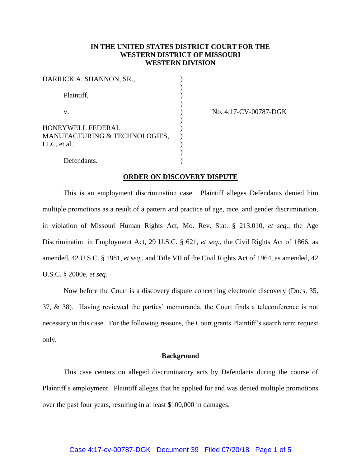# **IN THE UNITED STATES DISTRICT COURT FOR THE WESTERN DISTRICT OF MISSOURI WESTERN DIVISION**

| DARRICK A. SHANNON, SR.,                                           |  |
|--------------------------------------------------------------------|--|
| Plaintiff,                                                         |  |
| $V_{-}$                                                            |  |
| HONEYWELL FEDERAL<br>MANUFACTURING & TECHNOLOGIES,<br>LLC, et al., |  |
| Defendants.                                                        |  |

No. 4:17-CV-00787-DGK

### **ORDER ON DISCOVERY DISPUTE**

This is an employment discrimination case. Plaintiff alleges Defendants denied him multiple promotions as a result of a pattern and practice of age, race, and gender discrimination, in violation of Missouri Human Rights Act, Mo. Rev. Stat. § 213.010, *et seq.*, the Age Discrimination in Employment Act, 29 U.S.C. § 621, *et seq.*, the Civil Rights Act of 1866, as amended, 42 U.S.C. § 1981, *et seq.*, and Title VII of the Civil Rights Act of 1964, as amended, 42 U.S.C. § 2000e, *et seq.*

Now before the Court is a discovery dispute concerning electronic discovery (Docs. 35, 37, & 38). Having reviewed the parties' memoranda, the Court finds a teleconference is not necessary in this case. For the following reasons, the Court grants Plaintiff's search term request only.

# **Background**

This case centers on alleged discriminatory acts by Defendants during the course of Plaintiff's employment. Plaintiff alleges that he applied for and was denied multiple promotions over the past four years, resulting in at least \$100,000 in damages.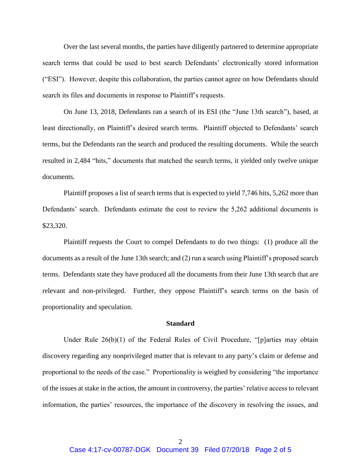Over the last several months, the parties have diligently partnered to determine appropriate search terms that could be used to best search Defendants' electronically stored information ("ESI"). However, despite this collaboration, the parties cannot agree on how Defendants should search its files and documents in response to Plaintiff's requests.

On June 13, 2018, Defendants ran a search of its ESI (the "June 13th search"), based, at least directionally, on Plaintiff's desired search terms. Plaintiff objected to Defendants' search terms, but the Defendants ran the search and produced the resulting documents. While the search resulted in 2,484 "hits," documents that matched the search terms, it yielded only twelve unique documents.

Plaintiff proposes a list of search terms that is expected to yield 7,746 hits, 5,262 more than Defendants' search. Defendants estimate the cost to review the 5,262 additional documents is \$23,320.

Plaintiff requests the Court to compel Defendants to do two things: (1) produce all the documents as a result of the June 13th search; and (2) run a search using Plaintiff's proposed search terms. Defendants state they have produced all the documents from their June 13th search that are relevant and non-privileged. Further, they oppose Plaintiff's search terms on the basis of proportionality and speculation.

## **Standard**

Under Rule 26(b)(1) of the Federal Rules of Civil Procedure, "[p]arties may obtain discovery regarding any nonprivileged matter that is relevant to any party's claim or defense and proportional to the needs of the case." Proportionality is weighed by considering "the importance of the issues at stake in the action, the amount in controversy, the parties' relative access to relevant information, the parties' resources, the importance of the discovery in resolving the issues, and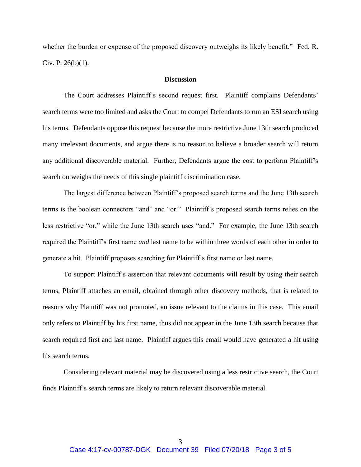whether the burden or expense of the proposed discovery outweighs its likely benefit." Fed. R. Civ. P. 26(b)(1).

# **Discussion**

The Court addresses Plaintiff's second request first. Plaintiff complains Defendants' search terms were too limited and asks the Court to compel Defendants to run an ESI search using his terms. Defendants oppose this request because the more restrictive June 13th search produced many irrelevant documents, and argue there is no reason to believe a broader search will return any additional discoverable material. Further, Defendants argue the cost to perform Plaintiff's search outweighs the needs of this single plaintiff discrimination case.

The largest difference between Plaintiff's proposed search terms and the June 13th search terms is the boolean connectors "and" and "or." Plaintiff's proposed search terms relies on the less restrictive "or," while the June 13th search uses "and." For example, the June 13th search required the Plaintiff's first name *and* last name to be within three words of each other in order to generate a hit. Plaintiff proposes searching for Plaintiff's first name *or* last name.

To support Plaintiff's assertion that relevant documents will result by using their search terms, Plaintiff attaches an email, obtained through other discovery methods, that is related to reasons why Plaintiff was not promoted, an issue relevant to the claims in this case. This email only refers to Plaintiff by his first name, thus did not appear in the June 13th search because that search required first and last name. Plaintiff argues this email would have generated a hit using his search terms.

Considering relevant material may be discovered using a less restrictive search, the Court finds Plaintiff's search terms are likely to return relevant discoverable material.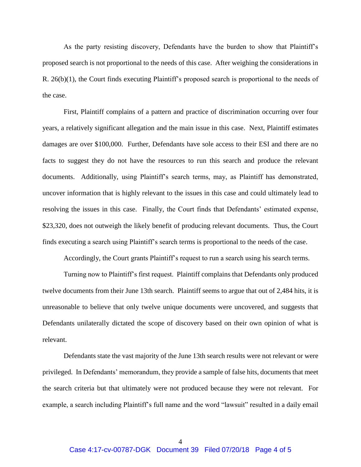As the party resisting discovery, Defendants have the burden to show that Plaintiff's proposed search is not proportional to the needs of this case. After weighing the considerations in R. 26(b)(1), the Court finds executing Plaintiff's proposed search is proportional to the needs of the case.

First, Plaintiff complains of a pattern and practice of discrimination occurring over four years, a relatively significant allegation and the main issue in this case. Next, Plaintiff estimates damages are over \$100,000. Further, Defendants have sole access to their ESI and there are no facts to suggest they do not have the resources to run this search and produce the relevant documents. Additionally, using Plaintiff's search terms, may, as Plaintiff has demonstrated, uncover information that is highly relevant to the issues in this case and could ultimately lead to resolving the issues in this case. Finally, the Court finds that Defendants' estimated expense, \$23,320, does not outweigh the likely benefit of producing relevant documents. Thus, the Court finds executing a search using Plaintiff's search terms is proportional to the needs of the case.

Accordingly, the Court grants Plaintiff's request to run a search using his search terms.

Turning now to Plaintiff's first request. Plaintiff complains that Defendants only produced twelve documents from their June 13th search. Plaintiff seems to argue that out of 2,484 hits, it is unreasonable to believe that only twelve unique documents were uncovered, and suggests that Defendants unilaterally dictated the scope of discovery based on their own opinion of what is relevant.

Defendants state the vast majority of the June 13th search results were not relevant or were privileged. In Defendants' memorandum, they provide a sample of false hits, documents that meet the search criteria but that ultimately were not produced because they were not relevant. For example, a search including Plaintiff's full name and the word "lawsuit" resulted in a daily email